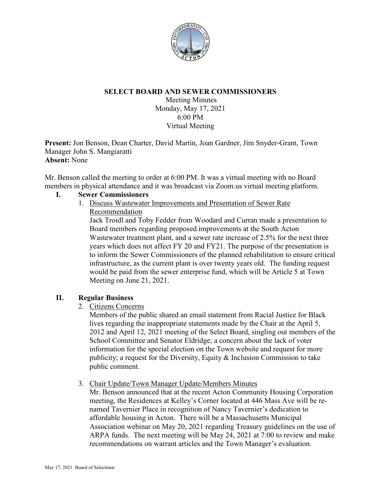

# **SELECT BOARD AND SEWER COMMISSIONERS**

Meeting Minutes Monday, May 17, 2021 6:00 PM Virtual Meeting

**Present:** Jon Benson, Dean Charter, David Martin, Joan Gardner, Jim Snyder-Grant, Town Manager John S. Mangiaratti **Absent:** None

Mr. Benson called the meeting to order at 6:00 PM. It was a virtual meeting with no Board members in physical attendance and it was broadcast via Zoom.us virtual meeting platform.

#### **I. Sewer Commissioners**

1. Discuss Wastewater Improvements and Presentation of Sewer Rate Recommendation

Jack Troidl and Toby Fedder from Woodard and Curran made a presentation to Board members regarding proposed improvements at the South Acton Wastewater treatment plant, and a sewer rate increase of 2.5% for the next three years which does not affect FY 20 and FY21. The purpose of the presentation is to inform the Sewer Commissioners of the planned rehabilitation to ensure critical infrastructure, as the current plant is over twenty years old. The funding request would be paid from the sewer enterprise fund, which will be Article 5 at Town Meeting on June 21, 2021.

# **II. Regular Business**

2. Citizens Concerns

Members of the public shared an email statement from Racial Justice for Black lives regarding the inappropriate statements made by the Chair at the April 5, 2012 and April 12, 2021 meeting of the Select Board, singling out members of the School Committee and Senator Eldridge; a concern about the lack of voter information for the special election on the Town website and request for more publicity; a request for the Diversity, Equity & Inclusion Commission to take public comment.

3. Chair Update/Town Manager Update/Members Minutes

Mr. Benson announced that at the recent Acton Community Housing Corporation meeting, the Residences at Kelley's Corner located at 446 Mass Ave will be renamed Tavernier Place in recognition of Nancy Tavernier's dedication to affordable housing in Acton. There will be a Massachusetts Municipal Association webinar on May 20, 2021 regarding Treasury guidelines on the use of ARPA funds. The next meeting will be May 24, 2021 at 7:00 to review and make recommendations on warrant articles and the Town Manager's evaluation.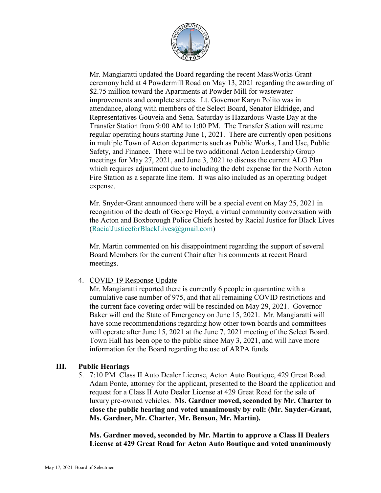

Mr. Mangiaratti updated the Board regarding the recent MassWorks Grant ceremony held at 4 Powdermill Road on May 13, 2021 regarding the awarding of \$2.75 million toward the Apartments at Powder Mill for wastewater improvements and complete streets. Lt. Governor Karyn Polito was in attendance, along with members of the Select Board, Senator Eldridge, and Representatives Gouveia and Sena. Saturday is Hazardous Waste Day at the Transfer Station from 9:00 AM to 1:00 PM. The Transfer Station will resume regular operating hours starting June 1, 2021. There are currently open positions in multiple Town of Acton departments such as Public Works, Land Use, Public Safety, and Finance. There will be two additional Acton Leadership Group meetings for May 27, 2021, and June 3, 2021 to discuss the current ALG Plan which requires adjustment due to including the debt expense for the North Acton Fire Station as a separate line item. It was also included as an operating budget expense.

Mr. Snyder-Grant announced there will be a special event on May 25, 2021 in recognition of the death of George Floyd, a virtual community conversation with the Acton and Boxborough Police Chiefs hosted by Racial Justice for Black Lives [\(RacialJusticeforBlackLives@gmail.com\)](mailto:RacialJusticeforBlackLives@gmail.com)

Mr. Martin commented on his disappointment regarding the support of several Board Members for the current Chair after his comments at recent Board meetings.

4. COVID-19 Response Update

Mr. Mangiaratti reported there is currently 6 people in quarantine with a cumulative case number of 975, and that all remaining COVID restrictions and the current face covering order will be rescinded on May 29, 2021. Governor Baker will end the State of Emergency on June 15, 2021. Mr. Mangiaratti will have some recommendations regarding how other town boards and committees will operate after June 15, 2021 at the June 7, 2021 meeting of the Select Board. Town Hall has been ope to the public since May 3, 2021, and will have more information for the Board regarding the use of ARPA funds.

# **III. Public Hearings**

5. 7:10 PM Class II Auto Dealer License, Acton Auto Boutique, 429 Great Road. Adam Ponte, attorney for the applicant, presented to the Board the application and request for a Class II Auto Dealer License at 429 Great Road for the sale of luxury pre-owned vehicles. **Ms. Gardner moved, seconded by Mr. Charter to close the public hearing and voted unanimously by roll: (Mr. Snyder-Grant, Ms. Gardner, Mr. Charter, Mr. Benson, Mr. Martin).**

**Ms. Gardner moved, seconded by Mr. Martin to approve a Class II Dealers License at 429 Great Road for Acton Auto Boutique and voted unanimously**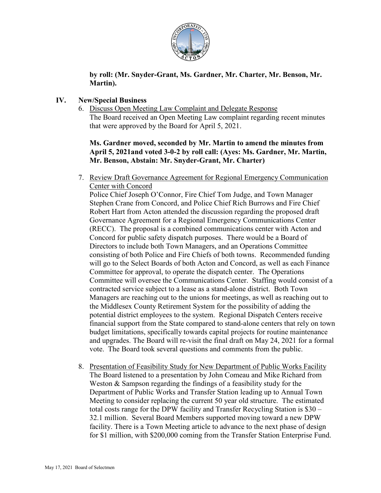

# **by roll: (Mr. Snyder-Grant, Ms. Gardner, Mr. Charter, Mr. Benson, Mr. Martin).**

# **IV. New/Special Business**

6. Discuss Open Meeting Law Complaint and Delegate Response The Board received an Open Meeting Law complaint regarding recent minutes that were approved by the Board for April 5, 2021.

**Ms. Gardner moved, seconded by Mr. Martin to amend the minutes from April 5, 2021and voted 3-0-2 by roll call: (Ayes: Ms. Gardner, Mr. Martin, Mr. Benson, Abstain: Mr. Snyder-Grant, Mr. Charter)**

7. Review Draft Governance Agreement for Regional Emergency Communication Center with Concord

Police Chief Joseph O'Connor, Fire Chief Tom Judge, and Town Manager Stephen Crane from Concord, and Police Chief Rich Burrows and Fire Chief Robert Hart from Acton attended the discussion regarding the proposed draft Governance Agreement for a Regional Emergency Communications Center (RECC). The proposal is a combined communications center with Acton and Concord for public safety dispatch purposes. There would be a Board of Directors to include both Town Managers, and an Operations Committee consisting of both Police and Fire Chiefs of both towns. Recommended funding will go to the Select Boards of both Acton and Concord, as well as each Finance Committee for approval, to operate the dispatch center. The Operations Committee will oversee the Communications Center. Staffing would consist of a contracted service subject to a lease as a stand-alone district. Both Town Managers are reaching out to the unions for meetings, as well as reaching out to the Middlesex County Retirement System for the possibility of adding the potential district employees to the system. Regional Dispatch Centers receive financial support from the State compared to stand-alone centers that rely on town budget limitations, specifically towards capital projects for routine maintenance and upgrades. The Board will re-visit the final draft on May 24, 2021 for a formal vote. The Board took several questions and comments from the public.

8. Presentation of Feasibility Study for New Department of Public Works Facility The Board listened to a presentation by John Comeau and Mike Richard from Weston & Sampson regarding the findings of a feasibility study for the Department of Public Works and Transfer Station leading up to Annual Town Meeting to consider replacing the current 50 year old structure. The estimated total costs range for the DPW facility and Transfer Recycling Station is \$30 – 32.1 million. Several Board Members supported moving toward a new DPW facility. There is a Town Meeting article to advance to the next phase of design for \$1 million, with \$200,000 coming from the Transfer Station Enterprise Fund.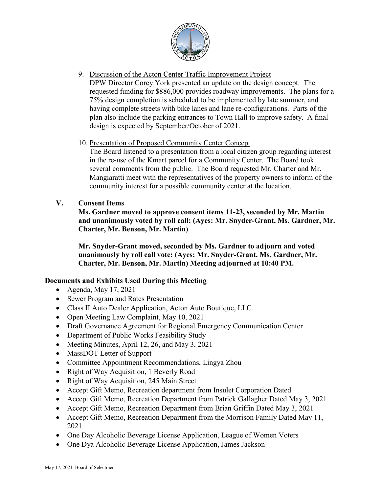

9. Discussion of the Acton Center Traffic Improvement Project DPW Director Corey York presented an update on the design concept. The requested funding for \$886,000 provides roadway improvements. The plans for a 75% design completion is scheduled to be implemented by late summer, and having complete streets with bike lanes and lane re-configurations. Parts of the plan also include the parking entrances to Town Hall to improve safety. A final design is expected by September/October of 2021.

# 10. Presentation of Proposed Community Center Concept

The Board listened to a presentation from a local citizen group regarding interest in the re-use of the Kmart parcel for a Community Center. The Board took several comments from the public. The Board requested Mr. Charter and Mr. Mangiaratti meet with the representatives of the property owners to inform of the community interest for a possible community center at the location.

# **V. Consent Items**

**Ms. Gardner moved to approve consent items 11-23, seconded by Mr. Martin and unanimously voted by roll call: (Ayes: Mr. Snyder-Grant, Ms. Gardner, Mr. Charter, Mr. Benson, Mr. Martin)**

**Mr. Snyder-Grant moved, seconded by Ms. Gardner to adjourn and voted unanimously by roll call vote: (Ayes: Mr. Snyder-Grant, Ms. Gardner, Mr. Charter, Mr. Benson, Mr. Martin) Meeting adjourned at 10:40 PM.**

# **Documents and Exhibits Used During this Meeting**

- Agenda, May 17, 2021
- Sewer Program and Rates Presentation
- Class II Auto Dealer Application, Acton Auto Boutique, LLC
- Open Meeting Law Complaint, May 10, 2021
- Draft Governance Agreement for Regional Emergency Communication Center
- Department of Public Works Feasibility Study
- Meeting Minutes, April 12, 26, and May 3, 2021
- MassDOT Letter of Support
- Committee Appointment Recommendations, Lingya Zhou
- Right of Way Acquisition, 1 Beverly Road
- Right of Way Acquisition, 245 Main Street
- Accept Gift Memo, Recreation department from Insulet Corporation Dated
- Accept Gift Memo, Recreation Department from Patrick Gallagher Dated May 3, 2021
- Accept Gift Memo, Recreation Department from Brian Griffin Dated May 3, 2021
- Accept Gift Memo, Recreation Department from the Morrison Family Dated May 11, 2021
- One Day Alcoholic Beverage License Application, League of Women Voters
- One Dya Alcoholic Beverage License Application, James Jackson